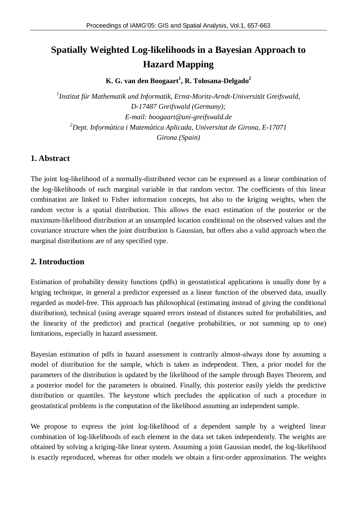# **Spatially Weighted Log-likelihoods in a Bayesian Approach to Hazard Mapping**

**K. G. van den Boogaart<sup>1</sup> , R. Tolosana-Delgado<sup>2</sup>**

*1 Institut für Mathematik und Informatik, Ernst-Moritz-Arndt-Universität Greifswald, D-17487 Greifswald (Germany); E-mail: [boogaart@uni-greifswald.de](mailto:boogaart@uni-greifswald.de) <sup>2</sup>Dept. Informàtica i Matemàtica Aplicada, Universitat de Girona, E-17071 Girona (Spain)*

# **1. Abstract**

The joint log-likelihood of a normally-distributed vector can be expressed as a linear combination of the log-likelihoods of each marginal variable in that random vector. The coefficients of this linear combination are linked to Fisher information concepts, but also to the kriging weights, when the random vector is a spatial distribution. This allows the exact estimation of the posterior or the maximum-likelihood distribution at an unsampled location conditional on the observed values and the covariance structure when the joint distribution is Gaussian, but offers also a valid approach when the marginal distributions are of any specified type.

# **2. Introduction**

Estimation of probability density functions (pdfs) in geostatistical applications is usually done by a kriging technique, in general a predictor expressed as a linear function of the observed data, usually regarded as model-free. This approach has philosophical (estimating instead of giving the conditional distribution), technical (using average squared errors instead of distances suited for probabilities, and the linearity of the predictor) and practical (negative probabilities, or not summing up to one) limitations, especially in hazard assessment.

Bayesian estimation of pdfs in hazard assessment is contrarily almost-always done by assuming a model of distribution for the sample, which is taken as independent. Then, a prior model for the parameters of the distribution is updated by the likelihood of the sample through Bayes Theorem, and a posterior model for the parameters is obtained. Finally, this posterior easily yields the predictive distribution or quantiles. The keystone which precludes the application of such a procedure in geostatistical problems is the computation of the likelihood assuming an independent sample.

We propose to express the joint log-likelihood of a dependent sample by a weighted linear combination of log-likelihoods of each element in the data set taken independently. The weights are obtained by solving a kriging-like linear system. Assuming a joint Gaussian model, the log-likelihood is exactly reproduced, whereas for other models we obtain a first-order approximation. The weights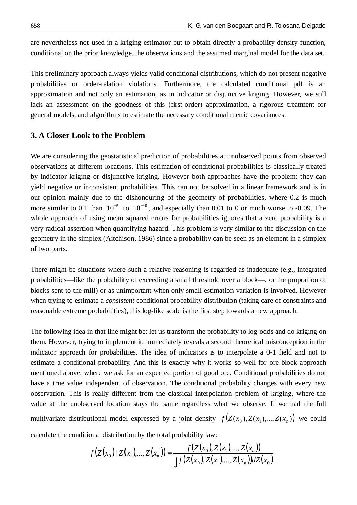are nevertheless not used in a kriging estimator but to obtain directly a probability density function, conditional on the prior knowledge, the observations and the assumed marginal model for the data set.

This preliminary approach always yields valid conditional distributions, which do not present negative probabilities or order-relation violations. Furthermore, the calculated conditional pdf is an approximation and not only an estimation, as in indicator or disjunctive kriging. However, we still lack an assessment on the goodness of this (first-order) approximation, a rigorous treatment for general models, and algorithms to estimate the necessary conditional metric covariances.

# **3. A Closer Look to the Problem**

We are considering the geostatistical prediction of probabilities at unobserved points from observed observations at different locations. This estimation of conditional probabilities is classically treated by indicator kriging or disjunctive kriging. However both approaches have the problem: they can yield negative or inconsistent probabilities. This can not be solved in a linear framework and is in our opinion mainly due to the dishonouring of the geometry of probabilities, where 0.2 is much more similar to 0.1 than  $10^{-5}$  to  $10^{-10}$ , and especially than 0.01 to 0 or much worse to -0.09. The whole approach of using mean squared errors for probabilities ignores that a zero probability is a very radical assertion when quantifying hazard. This problem is very similar to the discussion on the geometry in the simplex (Aitchison, 1986) since a probability can be seen as an element in a simplex of two parts.

There might be situations where such a relative reasoning is regarded as inadequate (e.g., integrated probabilities—like the probability of exceeding a small threshold over a block—, or the proportion of blocks sent to the mill) or as unimportant when only small estimation variation is involved. However when trying to estimate a *consistent* conditional probability distribution (taking care of constraints and reasonable extreme probabilities), this log-like scale is the first step towards a new approach.

The following idea in that line might be: let us transform the probability to log-odds and do kriging on them. However, trying to implement it, immediately reveals a second theoretical misconception in the indicator approach for probabilities. The idea of indicators is to interpolate a 0-1 field and not to estimate a conditional probability. And this is exactly why it works so well for ore block approach mentioned above, where we ask for an expected portion of good ore. Conditional probabilities do not have a true value independent of observation. The conditional probability changes with every new observation. This is really different from the classical interpolation problem of kriging, where the value at the unobserved location stays the same regardless what we observe. If we had the full multivariate distributional model expressed by a joint density  $f(Z(x_0), Z(x_1),..., Z(x_n))$  we could calculate the conditional distribution by the total probability law:

$$
f(Z(x_0) | Z(x_1),..., Z(x_n)) = \frac{f(Z(x_0), Z(x_1),..., Z(x_n))}{\int f(Z(x_0), Z(x_1),..., Z(x_n)) dZ(x_0)}
$$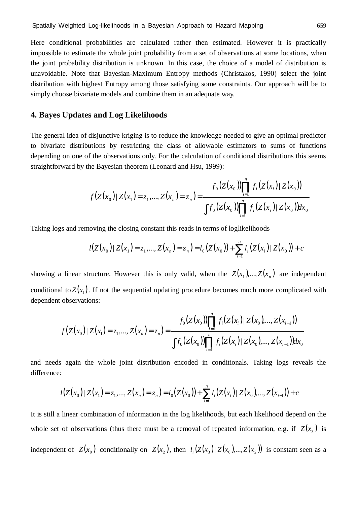Here conditional probabilities are calculated rather then estimated. However it is practically impossible to estimate the whole joint probability from a set of observations at some locations, when the joint probability distribution is unknown. In this case, the choice of a model of distribution is unavoidable. Note that Bayesian-Maximum Entropy methods (Christakos, 1990) select the joint distribution with highest Entropy among those satisfying some constraints. Our approach will be to simply choose bivariate models and combine them in an adequate way.

# **4. Bayes Updates and Log Likelihoods**

The general idea of disjunctive kriging is to reduce the knowledge needed to give an optimal predictor to bivariate distributions by restricting the class of allowable estimators to sums of functions depending on one of the observations only. For the calculation of conditional distributions this seems straightforward by the Bayesian theorem (Leonard and Hsu, 1999):

$$
f(Z(x_0)|Z(x_1)=z_1,...,Z(x_n)=z_n)=\frac{f_0(Z(x_0))\prod_{i=1}^n f_i(Z(x_i)|Z(x_0))}{\int f_0(Z(x_0))\prod_{i=1}^n f_i(Z(x_i)|Z(x_0))dx_0}
$$

*n*

Taking logs and removing the closing constant this reads in terms of loglikelihoods

$$
l(Z(x_0))|Z(x_1) = z_1, ..., Z(x_n) = z_n) = l_0(Z(x_0)) + \sum_{i=1}^n l_i(Z(x_i))|Z(x_0)| + c
$$

showing a linear structure. However this is only valid, when the  $Z(x_1)$ ,..., $Z(x_n)$  are independent conditional to  $Z(x_1)$ . If not the sequential updating procedure becomes much more complicated with dependent observations:

$$
f(Z(x_0))|Z(x_1) = z_1,..., Z(x_n) = z_n) = \frac{f_0(Z(x_0))\prod_{i=1}^n f_i(Z(x_i))| Z(x_0),..., Z(x_{i-1}))}{\int f_0(Z(x_0))\prod_{i=1}^n f_i(Z(x_i))| Z(x_0),..., Z(x_{i-1}))dx_0}
$$

and needs again the whole joint distribution encoded in conditionals. Taking logs reveals the difference:

$$
l(Z(x_0))|Z(x_1) = z_1, ..., Z(x_n) = z_n) = l_0(Z(x_0)) + \sum_{i=1}^n l_i(Z(x_i))|Z(x_0), ..., Z(x_{i-1})) + c
$$

It is still a linear combination of information in the log likelihoods, but each likelihood depend on the whole set of observations (thus there must be a removal of repeated information, e.g. if  $Z(x_3)$  is independent of  $Z(x_0)$  conditionally on  $Z(x_2)$ , then  $l_i(Z(x_3) | Z(x_0),..., Z(x_2))$  is constant seen as a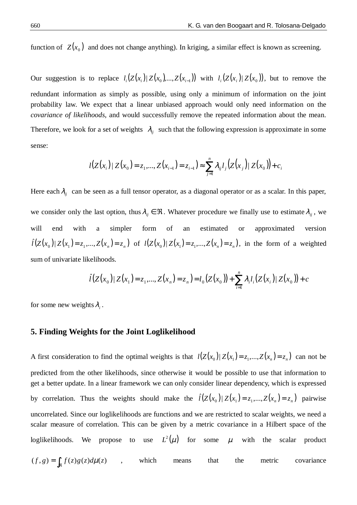function of  $Z(x_0)$  and does not change anything). In kriging, a similar effect is known as screening.

Our suggestion is to replace  $l_i(Z(x_i)|Z(x_0),...,Z(x_{i-1}))$  with  $l_i(Z(x_i)|Z(x_0))$ , but to remove the redundant information as simply as possible, using only a minimum of information on the joint probability law. We expect that a linear unbiased approach would only need information on the *covariance of likelihoods*, and would successfully remove the repeated information about the mean. Therefore, we look for a set of weights  $\lambda_{ii}$  such that the following expression is approximate in some sense:

$$
l(Z(x_i)) | Z(x_0) = z_1, ..., Z(x_{i-1}) = z_{i-1}) \approx \sum_{j=1}^n \lambda_{ij} l_j (Z(x_j)) | Z(x_0) + c_i
$$

Here each  $\lambda_i$  can be seen as a full tensor operator, as a diagonal operator or as a scalar. In this paper, we consider only the last option, thus  $\lambda_{ii} \in \Re$ . Whatever procedure we finally use to estimate  $\lambda_{ii}$ , we will end with a simpler form of an estimated or approximated version  $\hat{l}(Z(x_0)|Z(x_1)=z_1,...,Z(x_n)=z_n)$  of  $l(Z(x_0)|Z(x_1)=z_1,...,Z(x_n)=z_n)$ , in the form of a weighted sum of univariate likelihoods.

$$
\hat{l}(Z(x_0)|Z(x_1)=z_1,...,Z(x_n)=z_n)=l_0(Z(x_0))+\sum_{i=1}^n \lambda_i l_i(Z(x_i)|Z(x_0))+c
$$

for some new weights  $\lambda_i$ .

#### **5. Finding Weights for the Joint Loglikelihood**

A first consideration to find the optimal weights is that  $l(Z(x_0) | Z(x_1) = z_1, ..., Z(x_n) = z_n)$  can not be predicted from the other likelihoods, since otherwise it would be possible to use that information to get a better update. In a linear framework we can only consider linear dependency, which is expressed by correlation. Thus the weights should make the  $\hat{l}(Z(x_0) | Z(x_1) = z_1, ..., Z(x_n) = z_n)$  pairwise uncorrelated. Since our loglikelihoods are functions and we are restricted to scalar weights, we need a scalar measure of correlation. This can be given by a metric covariance in a Hilbert space of the loglikelihoods. We propose to use  $L^2(\mu)$  for some  $\mu$  with the scalar product

$$
(f,g) = \int_{\Re} f(z)g(z)d\mu(z) \qquad , \qquad \text{which} \qquad \text{means} \qquad \text{that} \qquad \text{the} \qquad \text{metric} \qquad \text{covariance}
$$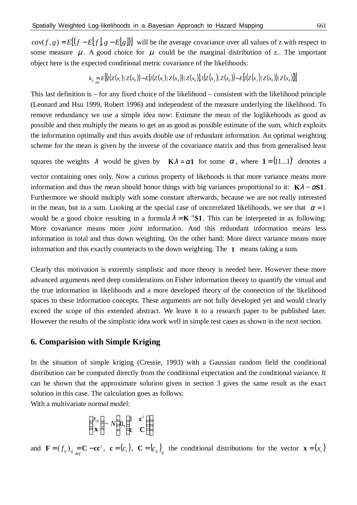$cov(f, g) = E[(f - E[f], g - E[g])]$  will be the average covariance over all values of z with respect to some measure  $\mu$ . A good choice for  $\mu$  could be the marginal distribution of z.. The important object here is the expected conditional metric covariance of the likelihoods:

$$
k_{ij} = E\left[\left(\frac{I(Z(x_i))}{Z(x_0)}\right) - E\left[\frac{I(Z(x_i))}{Z(x_0)}\right]Z(x_0)\right]I\left(Z(x_j)|Z(x_0)\right) - E\left[\frac{I(Z(x_j))}{Z(x_0)}\right]Z(x_0)\right]\right]
$$

This last definition is – for any fixed choice of the likelihood – consistent with the likelihood principle (Leonard and Hsu 1999, Robert 1996) and independent of the measure underlying the likelihood. To remove redundancy we use a simple idea now: Estimate the mean of the loglikehoods as good as possible and then multiply the means to get an as good as possible estimate of the sum, which exploits the information optimally and thus avoids double use of redundant information. An optimal weighting scheme for the mean is given by the inverse of the covariance matrix and thus from generalised least

squares the weights  $\lambda$  would be given by  $\mathbf{K}\lambda = \alpha \mathbf{1}$  for some  $\alpha$ , where  $\mathbf{1} = (11...1)^t$  denotes a

vector containing ones only. Now a curious property of likehoods is that more variance means more information and thus the mean should honor things with big variances proportional to it:  $K\lambda \sim \alpha S1$ . Furthermore we should multiply with some constant afterwards, because we are not really interested in the mean, but in a sum. Looking at the special case of uncorrelated likelihoods, we see that  $\alpha = 1$ would be a good choice resulting in a formula  $\lambda = K^{-1}S1$ . This can be interpreted in as following: More covariance means more *joint* information. And this redundant information means less information in total and thus down weighting. On the other hand: More direct variance means more information and this exactly counteracts to the down weighting. The **1** means taking a sum.

Clearly this motivation is extremly simplistic and more theory is needed here. However these more advanced arguments need deep considerations on Fisher information theory to quantify the virtual and the true information in likelihoods and a more developed theory of the connection of the likelihood spaces to these information concepts. These arguments are not fully developed yet and would clearly exceed the scope of this extended abstract. We leave it to a research paper to be published later. However the results of the simplistic idea work well in simple test cases as shown in the next section.

#### **6. Comparision with Simple Kriging**

In the situation of simple kriging (Cressie, 1993) with a Gaussian random field the conditional distribution can be computed directly from the conditional expectation and the conditional variance. It can be shown that the approximate solution given in section 3 gives the same result as the exact solution in this case. The calculation goes as follows:

With a multivariate normal model:

$$
\begin{pmatrix} x_0 \\ \mathbf{x} \end{pmatrix} \sim N \begin{pmatrix} 0, & \mathbf{c}^t \\ \mathbf{c} & \mathbf{C} \end{pmatrix}
$$

and  $\mathbf{F} = (f_{ij})_{ij} = \mathbf{C} - \mathbf{c}\mathbf{c}^t$ ,  $\mathbf{c} = (c_i)$ ,  $\mathbf{C} = (c_{ij})_{ij}$  the conditional distributions for the vector  $\mathbf{x} = (x_i)$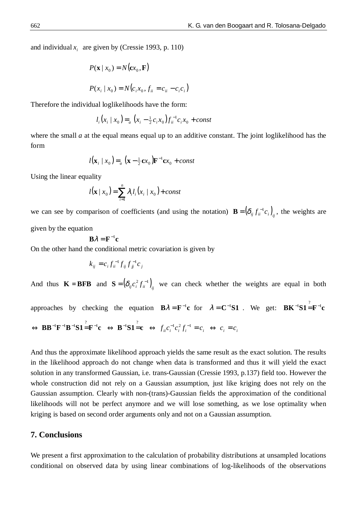and individual  $x_i$  are given by (Cressie 1993, p. 110)

$$
P(\mathbf{x} \mid x_0) = N(\mathbf{c}x_0, \mathbf{F})
$$
  

$$
P(x_i \mid x_0) = N(c_i x_0, f_{ii} = c_{ii} - c_i c_i)
$$

Therefore the individual loglikelihoods have the form:

$$
l_i(x_i \mid x_0) =_a (x_i - \frac{1}{2}c_i x_0) f_{ii}^{-1} c_i x_0 + const
$$

where the small *a* at the equal means equal up to an additive constant. The joint loglikelihood has the form

$$
l(\mathbf{x}_{i} \mid x_{0}) =_{a} (\mathbf{x} - \frac{1}{2}\mathbf{c}x_{0})\mathbf{F}^{-1}\mathbf{c}x_{0} + const
$$

Using the linear equality

$$
l(\mathbf{x} \mid x_0) = \sum_{i=1}^{n} \lambda_i l_i(x_i \mid x_0) + const
$$

we can see by comparison of coefficients (and using the notation)  $\mathbf{B} = (\delta_{ij} f_{ii}^{-1} c_i)_{ij}$ , the weights are given by the equation

$$
\mathbf{B}\lambda = \mathbf{F}^{-1}\mathbf{c}
$$

On the other hand the conditional metric covariation is given by

$$
k_{ij} = c_i f_{ii}^{-1} f_{ij} f_{jj}^{-1} c_j
$$

And thus  $\mathbf{K} = \mathbf{BFB}$  and  $\mathbf{S} = (\delta_{ij} c_i^2 f_{ii}^{-1})_{ij}$  we can check whether the weights are equal in both

approaches by checking the equation  $\mathbf{B}\lambda = \mathbf{F}^{-1}\mathbf{c}$  for  $\lambda = \mathbf{C}^{-1}\mathbf{S}\mathbf{1}$ . We get:  $\mathbf{B}\mathbf{K}^{-1}\mathbf{S}\mathbf{1} = \mathbf{F}^{-1}\mathbf{c}$  $\Leftrightarrow \mathbf{B} \mathbf{B}^{-1} \mathbf{F}^{-1} \mathbf{B}^{-1} \mathbf{S} \mathbf{1} = \mathbf{F}^{-1} \mathbf{c} \Leftrightarrow \mathbf{B}^{-1} \mathbf{S} \mathbf{1} = \mathbf{c} \Leftrightarrow f_{ii} c_i^{-1} c_i^2 f_i^{-1} = c_i \Leftrightarrow c_i = c_i$ 

And thus the approximate likelihood approach yields the same result as the exact solution. The results in the likelihood approach do not change when data is transformed and thus it will yield the exact solution in any transformed Gaussian, i.e. trans-Gaussian (Cressie 1993, p.137) field too. However the whole construction did not rely on a Gaussian assumption, just like kriging does not rely on the Gaussian assumption. Clearly with non-(trans)-Gaussian fields the approximation of the conditional likelihoods will not be perfect anymore and we will lose something, as we lose optimality when kriging is based on second order arguments only and not on a Gaussian assumption.

# **7. Conclusions**

We present a first approximation to the calculation of probability distributions at unsampled locations conditional on observed data by using linear combinations of log-likelihoods of the observations